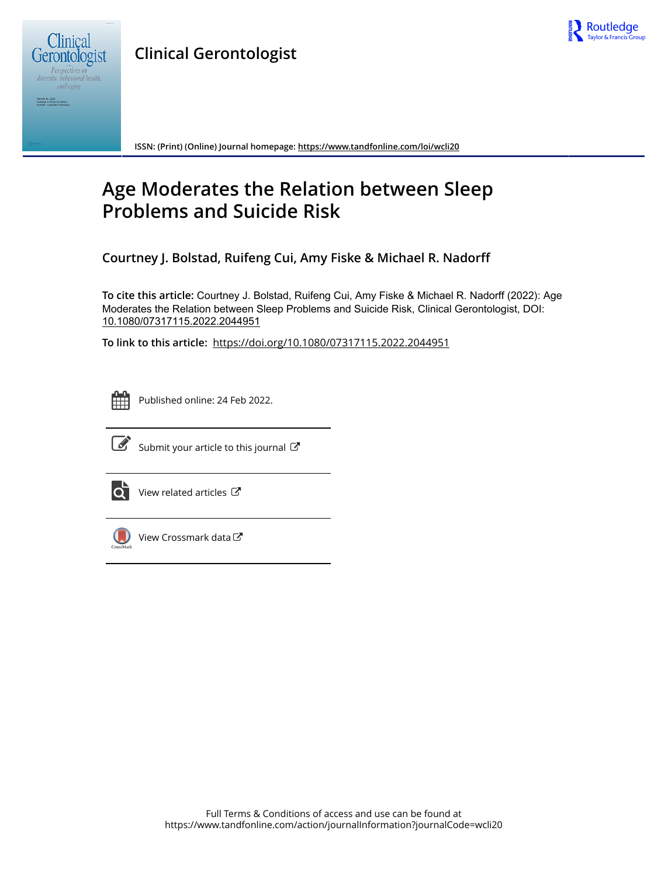

**Clinical Gerontologist**



Volume 45, 2022<br>Included in this print edition:<br>Number 1 (January-February)

**ISSN: (Print) (Online) Journal homepage:<https://www.tandfonline.com/loi/wcli20>**

# **Age Moderates the Relation between Sleep Problems and Suicide Risk**

**Courtney J. Bolstad, Ruifeng Cui, Amy Fiske & Michael R. Nadorff**

**To cite this article:** Courtney J. Bolstad, Ruifeng Cui, Amy Fiske & Michael R. Nadorff (2022): Age Moderates the Relation between Sleep Problems and Suicide Risk, Clinical Gerontologist, DOI: [10.1080/07317115.2022.2044951](https://www.tandfonline.com/action/showCitFormats?doi=10.1080/07317115.2022.2044951)

**To link to this article:** <https://doi.org/10.1080/07317115.2022.2044951>



Published online: 24 Feb 2022.



 $\overrightarrow{S}$  [Submit your article to this journal](https://www.tandfonline.com/action/authorSubmission?journalCode=wcli20&show=instructions)  $\overrightarrow{S}$ 



[View related articles](https://www.tandfonline.com/doi/mlt/10.1080/07317115.2022.2044951)  $\mathbb{Z}$ 



[View Crossmark data](http://crossmark.crossref.org/dialog/?doi=10.1080/07317115.2022.2044951&domain=pdf&date_stamp=2022-02-24)<sup>C</sup>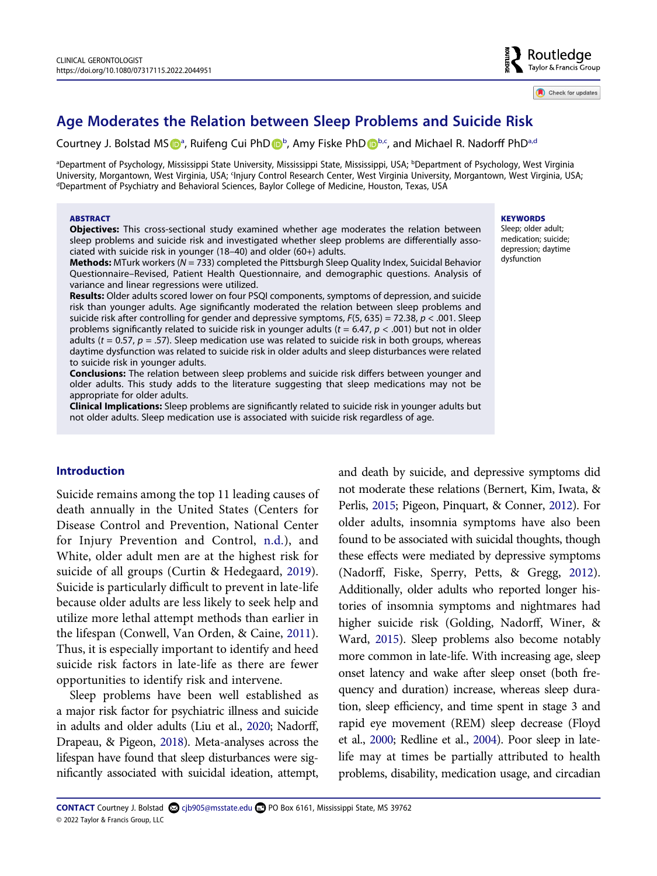Check for updates

# **Age Moderates the Relation between Sleep Problems and Suicide Risk**

Courtney J. Bolst[a](#page-1-0)d MS D<sup>a</sup>, Ruifeng Cui PhD D<sup>[b](#page-1-0)</sup>, Amy Fiske PhD D<sup>b[,c](#page-1-1)</sup>, and Michael R. Nadorff PhD<sup>a[,d](#page-1-2)</sup>

<span id="page-1-2"></span><span id="page-1-1"></span><span id="page-1-0"></span>ªDepartment of Psychology, Mississippi State University, Mississippi State, Mississippi, USA; <sup>b</sup>Department of Psychology, West Virginia University, Morgantown, West Virginia, USA; <sup>c</sup>Injury Control Research Center, West Virginia University, Morgantown, West Virginia, USA;<br><sup>d</sup>Department of Psychiatry and Behavioral Sciences, Baylor College of Medicine, Hous Department of Psychiatry and Behavioral Sciences, Baylor College of Medicine, Houston, Texas, USA

#### **ABSTRACT**

**Objectives:** This cross-sectional study examined whether age moderates the relation between sleep problems and suicide risk and investigated whether sleep problems are differentially associated with suicide risk in younger (18–40) and older (60+) adults.

**Methods:** MTurk workers (*N* = 733) completed the Pittsburgh Sleep Quality Index, Suicidal Behavior Questionnaire–Revised, Patient Health Questionnaire, and demographic questions. Analysis of variance and linear regressions were utilized.

**Results:** Older adults scored lower on four PSQI components, symptoms of depression, and suicide risk than younger adults. Age significantly moderated the relation between sleep problems and suicide risk after controlling for gender and depressive symptoms, *F*(5, 635) = 72.38, *p* < .001. Sleep problems significantly related to suicide risk in younger adults (*t* = 6.47, *p* < .001) but not in older adults (*t* = 0.57, *p* = .57). Sleep medication use was related to suicide risk in both groups, whereas daytime dysfunction was related to suicide risk in older adults and sleep disturbances were related to suicide risk in younger adults.

**Conclusions:** The relation between sleep problems and suicide risk differs between younger and older adults. This study adds to the literature suggesting that sleep medications may not be appropriate for older adults.

**Clinical Implications:** Sleep problems are significantly related to suicide risk in younger adults but not older adults. Sleep medication use is associated with suicide risk regardless of age.

#### **Introduction**

<span id="page-1-6"></span><span id="page-1-4"></span>Suicide remains among the top 11 leading causes of death annually in the United States (Centers for Disease Control and Prevention, National Center for Injury Prevention and Control, [n.d.\)](#page-7-0), and White, older adult men are at the highest risk for suicide of all groups (Curtin & Hedegaard, [2019](#page-7-1)). Suicide is particularly difficult to prevent in late-life because older adults are less likely to seek help and utilize more lethal attempt methods than earlier in the lifespan (Conwell, Van Orden, & Caine, [2011](#page-7-2)). Thus, it is especially important to identify and heed suicide risk factors in late-life as there are fewer opportunities to identify risk and intervene.

<span id="page-1-10"></span><span id="page-1-9"></span><span id="page-1-5"></span>Sleep problems have been well established as a major risk factor for psychiatric illness and suicide in adults and older adults (Liu et al., [2020](#page-7-3); Nadorff, Drapeau, & Pigeon, [2018\)](#page-7-4). Meta-analyses across the lifespan have found that sleep disturbances were significantly associated with suicidal ideation, attempt, <span id="page-1-11"></span><span id="page-1-8"></span><span id="page-1-7"></span><span id="page-1-3"></span>and death by suicide, and depressive symptoms did not moderate these relations (Bernert, Kim, Iwata, & Perlis, [2015;](#page-7-5) Pigeon, Pinquart, & Conner, [2012](#page-8-0)). For older adults, insomnia symptoms have also been found to be associated with suicidal thoughts, though these effects were mediated by depressive symptoms (Nadorff, Fiske, Sperry, Petts, & Gregg, [2012](#page-7-6)). Additionally, older adults who reported longer histories of insomnia symptoms and nightmares had higher suicide risk (Golding, Nadorff, Winer, & Ward, [2015\)](#page-7-7). Sleep problems also become notably more common in late-life. With increasing age, sleep onset latency and wake after sleep onset (both frequency and duration) increase, whereas sleep duration, sleep efficiency, and time spent in stage 3 and rapid eye movement (REM) sleep decrease (Floyd et al., [2000](#page-7-8); Redline et al., [2004\)](#page-8-1). Poor sleep in latelife may at times be partially attributed to health problems, disability, medication usage, and circadian

#### **KEYWORDS**

Sleep; older adult; medication; suicide; depression; daytime dysfunction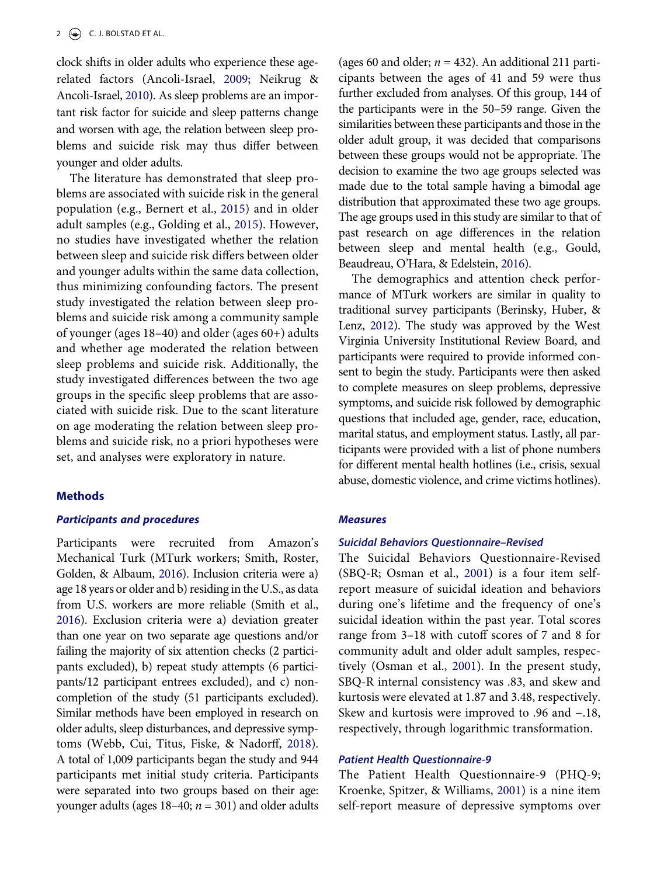<span id="page-2-4"></span><span id="page-2-0"></span>clock shifts in older adults who experience these agerelated factors (Ancoli-Israel, [2009](#page-7-9); Neikrug & Ancoli-Israel, [2010\)](#page-8-2). As sleep problems are an important risk factor for suicide and sleep patterns change and worsen with age, the relation between sleep problems and suicide risk may thus differ between younger and older adults.

The literature has demonstrated that sleep problems are associated with suicide risk in the general population (e.g., Bernert et al., [2015\)](#page-7-5) and in older adult samples (e.g., Golding et al., [2015\)](#page-7-7). However, no studies have investigated whether the relation between sleep and suicide risk differs between older and younger adults within the same data collection, thus minimizing confounding factors. The present study investigated the relation between sleep problems and suicide risk among a community sample of younger (ages 18–40) and older (ages 60+) adults and whether age moderated the relation between sleep problems and suicide risk. Additionally, the study investigated differences between the two age groups in the specific sleep problems that are associated with suicide risk. Due to the scant literature on age moderating the relation between sleep problems and suicide risk, no a priori hypotheses were set, and analyses were exploratory in nature.

# **Methods**

#### *Participants and procedures*

<span id="page-2-7"></span><span id="page-2-6"></span>Participants were recruited from Amazon's Mechanical Turk (MTurk workers; Smith, Roster, Golden, & Albaum, [2016\)](#page-8-3). Inclusion criteria were a) age 18 years or older and b) residing in the U.S., as data from U.S. workers are more reliable (Smith et al., [2016\)](#page-8-3). Exclusion criteria were a) deviation greater than one year on two separate age questions and/or failing the majority of six attention checks (2 participants excluded), b) repeat study attempts (6 participants/12 participant entrees excluded), and c) noncompletion of the study (51 participants excluded). Similar methods have been employed in research on older adults, sleep disturbances, and depressive symptoms (Webb, Cui, Titus, Fiske, & Nadorff, [2018](#page-8-4)). A total of 1,009 participants began the study and 944 participants met initial study criteria. Participants were separated into two groups based on their age: younger adults (ages  $18-40$ ;  $n = 301$ ) and older adults

(ages 60 and older;  $n = 432$ ). An additional 211 participants between the ages of 41 and 59 were thus further excluded from analyses. Of this group, 144 of the participants were in the 50–59 range. Given the similarities between these participants and those in the older adult group, it was decided that comparisons between these groups would not be appropriate. The decision to examine the two age groups selected was made due to the total sample having a bimodal age distribution that approximated these two age groups. The age groups used in this study are similar to that of past research on age differences in the relation between sleep and mental health (e.g., Gould, Beaudreau, O'Hara, & Edelstein, [2016](#page-7-10)).

<span id="page-2-2"></span><span id="page-2-1"></span>The demographics and attention check performance of MTurk workers are similar in quality to traditional survey participants (Berinsky, Huber, & Lenz, [2012\)](#page-7-11). The study was approved by the West Virginia University Institutional Review Board, and participants were required to provide informed consent to begin the study. Participants were then asked to complete measures on sleep problems, depressive symptoms, and suicide risk followed by demographic questions that included age, gender, race, education, marital status, and employment status. Lastly, all participants were provided with a list of phone numbers for different mental health hotlines (i.e., crisis, sexual abuse, domestic violence, and crime victims hotlines).

#### *Measures*

#### *Suicidal Behaviors Questionnaire–Revised*

The Suicidal Behaviors Questionnaire-Revised (SBQ-R; Osman et al., [2001\)](#page-8-5) is a four item selfreport measure of suicidal ideation and behaviors during one's lifetime and the frequency of one's suicidal ideation within the past year. Total scores range from 3–18 with cutoff scores of 7 and 8 for community adult and older adult samples, respectively (Osman et al., [2001](#page-8-5)). In the present study, SBQ-R internal consistency was .83, and skew and kurtosis were elevated at 1.87 and 3.48, respectively. Skew and kurtosis were improved to .96 and −.18, respectively, through logarithmic transformation.

#### <span id="page-2-5"></span>*Patient Health Questionnaire-9*

<span id="page-2-3"></span>The Patient Health Questionnaire-9 (PHQ-9; Kroenke, Spitzer, & Williams, [2001](#page-7-12)) is a nine item self-report measure of depressive symptoms over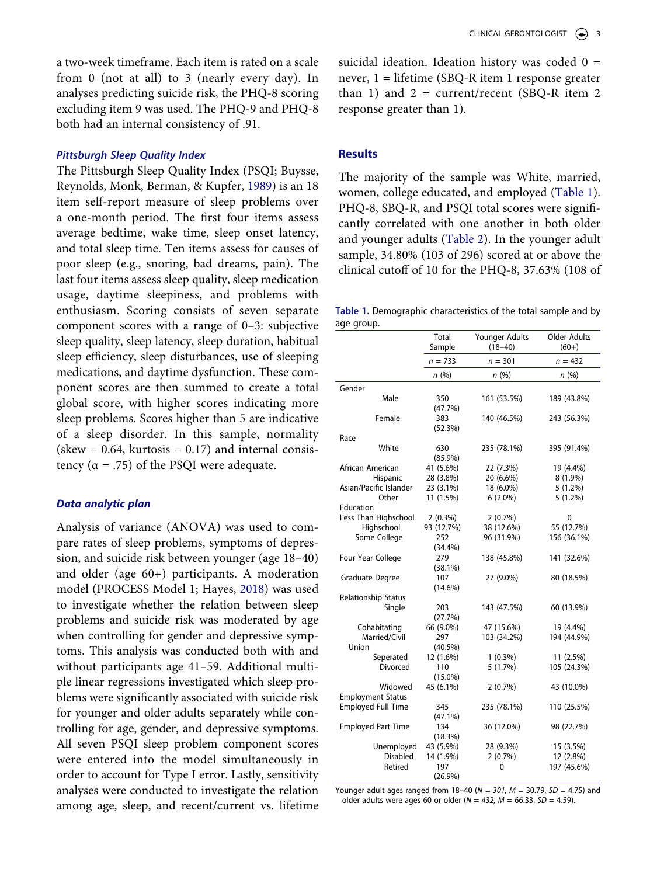a two-week timeframe. Each item is rated on a scale from 0 (not at all) to 3 (nearly every day). In analyses predicting suicide risk, the PHQ-8 scoring excluding item 9 was used. The PHQ-9 and PHQ-8 both had an internal consistency of .91.

#### *Pittsburgh Sleep Quality Index*

<span id="page-3-1"></span>The Pittsburgh Sleep Quality Index (PSQI; Buysse, Reynolds, Monk, Berman, & Kupfer, [1989\)](#page-7-13) is an 18 item self-report measure of sleep problems over a one-month period. The first four items assess average bedtime, wake time, sleep onset latency, and total sleep time. Ten items assess for causes of poor sleep (e.g., snoring, bad dreams, pain). The last four items assess sleep quality, sleep medication usage, daytime sleepiness, and problems with enthusiasm. Scoring consists of seven separate component scores with a range of 0–3: subjective sleep quality, sleep latency, sleep duration, habitual sleep efficiency, sleep disturbances, use of sleeping medications, and daytime dysfunction. These component scores are then summed to create a total global score, with higher scores indicating more sleep problems. Scores higher than 5 are indicative of a sleep disorder. In this sample, normality  $(skew = 0.64, kurtosis = 0.17)$  and internal consistency ( $\alpha$  = .75) of the PSQI were adequate.

#### *Data analytic plan*

<span id="page-3-2"></span>Analysis of variance (ANOVA) was used to compare rates of sleep problems, symptoms of depression, and suicide risk between younger (age 18–40) and older (age 60+) participants. A moderation model (PROCESS Model 1; Hayes, [2018\)](#page-7-14) was used to investigate whether the relation between sleep problems and suicide risk was moderated by age when controlling for gender and depressive symptoms. This analysis was conducted both with and without participants age 41–59. Additional multiple linear regressions investigated which sleep problems were significantly associated with suicide risk for younger and older adults separately while controlling for age, gender, and depressive symptoms. All seven PSQI sleep problem component scores were entered into the model simultaneously in order to account for Type I error. Lastly, sensitivity analyses were conducted to investigate the relation among age, sleep, and recent/current vs. lifetime

suicidal ideation. Ideation history was coded 0 = never, 1 = lifetime (SBQ-R item 1 response greater than 1) and  $2 =$  current/recent (SBQ-R item 2) response greater than 1).

#### **Results**

The majority of the sample was White, married, women, college educated, and employed ([Table 1](#page-3-0)). PHQ-8, SBQ-R, and PSQI total scores were significantly correlated with one another in both older and younger adults ([Table 2](#page-4-0)). In the younger adult sample, 34.80% (103 of 296) scored at or above the clinical cutoff of 10 for the PHQ-8, 37.63% (108 of

<span id="page-3-0"></span>**Table 1.** Demographic characteristics of the total sample and by age group.

|                           | <b>Total</b><br>Sample | Younger Adults<br>$(18 - 40)$ | <b>Older Adults</b><br>$(60+)$ |
|---------------------------|------------------------|-------------------------------|--------------------------------|
|                           | $n = 733$              | $n = 301$                     | $n = 432$                      |
|                           | n(%)                   | n(%)                          | n(%)                           |
| Gender                    |                        |                               |                                |
| Male                      | 350<br>(47.7%)         | 161 (53.5%)                   | 189 (43.8%)                    |
| Female                    | 383<br>(52.3%)         | 140 (46.5%)                   | 243 (56.3%)                    |
| Race                      |                        |                               |                                |
| White                     | 630<br>$(85.9\%)$      | 235 (78.1%)                   | 395 (91.4%)                    |
| African American          | 41 (5.6%)              | 22 (7.3%)                     | 19 (4.4%)                      |
| Hispanic                  | 28 (3.8%)              | 20 (6.6%)                     | 8 (1.9%)                       |
| Asian/Pacific Islander    | 23 (3.1%)              | 18 (6.0%)                     | $5(1.2\%)$                     |
| Other                     | 11 (1.5%)              | $6(2.0\%)$                    | $5(1.2\%)$                     |
| Education                 |                        |                               |                                |
| Less Than Highschool      | $2(0.3\%)$             | 2(0.7%)                       | 0                              |
| Highschool                | 93 (12.7%)             | 38 (12.6%)                    | 55 (12.7%)                     |
| Some College              | 252                    | 96 (31.9%)                    | 156 (36.1%)                    |
|                           | (34.4%)                |                               |                                |
| Four Year College         | 279                    | 138 (45.8%)                   | 141 (32.6%)                    |
|                           | (38.1%)<br>107         | 27 (9.0%)                     | 80 (18.5%)                     |
| Graduate Degree           | $(14.6\%)$             |                               |                                |
| Relationship Status       |                        |                               |                                |
| Single                    | 203                    | 143 (47.5%)                   | 60 (13.9%)                     |
|                           | (27.7%)                |                               |                                |
| Cohabitating              | 66 (9.0%)              | 47 (15.6%)                    | 19 (4.4%)                      |
| Married/Civil             | 297                    | 103 (34.2%)                   | 194 (44.9%)                    |
| Union                     | $(40.5\%)$             |                               |                                |
| Seperated                 | 12 (1.6%)              | $1(0.3\%)$                    | 11 (2.5%)                      |
| Divorced                  | 110                    | 5(1.7%)                       | 105 (24.3%)                    |
|                           | $(15.0\%)$             |                               |                                |
| Widowed                   | 45 (6.1%)              | 2(0.7%)                       | 43 (10.0%)                     |
| <b>Employment Status</b>  |                        |                               |                                |
| <b>Employed Full Time</b> | 345                    | 235 (78.1%)                   | 110 (25.5%)                    |
|                           | $(47.1\%)$             |                               |                                |
| <b>Employed Part Time</b> | 134                    | 36 (12.0%)                    | 98 (22.7%)                     |
|                           | (18.3%)                |                               |                                |
| Unemployed                | 43 (5.9%)              | 28 (9.3%)                     | 15 (3.5%)                      |
| <b>Disabled</b>           | 14 (1.9%)              | 2(0.7%)                       | 12 (2.8%)                      |
| Retired                   | 197                    | 0                             | 197 (45.6%)                    |
|                           | (26.9%)                |                               |                                |

Younger adult ages ranged from 18–40 (*N = 301, M* = 30.79, *SD* = 4.75) and older adults were ages 60 or older (*N = 432, M* = 66.33, *SD* = 4.59).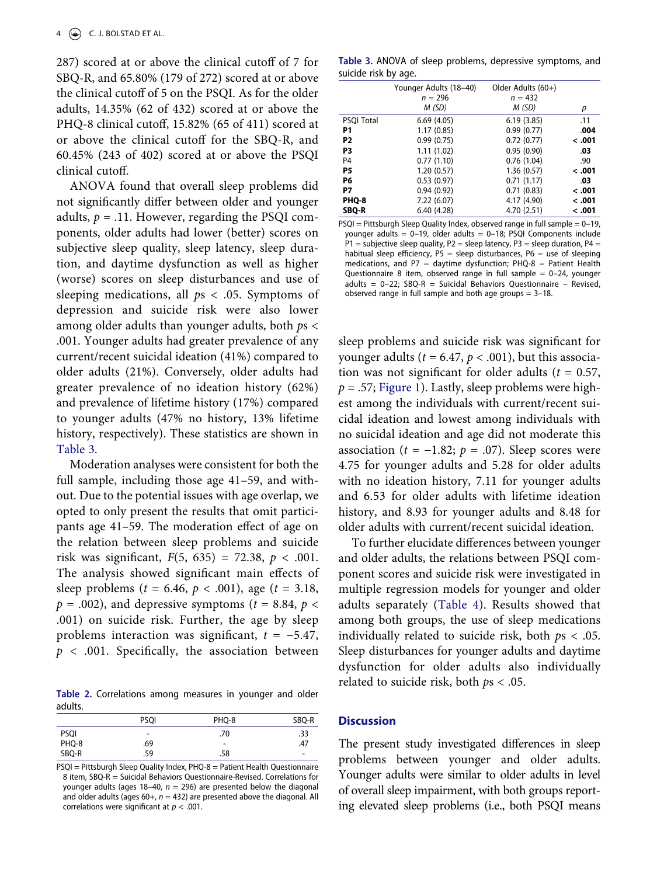287) scored at or above the clinical cutoff of 7 for SBQ-R, and 65.80% (179 of 272) scored at or above the clinical cutoff of 5 on the PSQI. As for the older adults, 14.35% (62 of 432) scored at or above the PHQ-8 clinical cutoff, 15.82% (65 of 411) scored at or above the clinical cutoff for the SBQ-R, and 60.45% (243 of 402) scored at or above the PSQI clinical cutoff.

ANOVA found that overall sleep problems did not significantly differ between older and younger adults,  $p = .11$ . However, regarding the PSQI components, older adults had lower (better) scores on subjective sleep quality, sleep latency, sleep duration, and daytime dysfunction as well as higher (worse) scores on sleep disturbances and use of sleeping medications, all *p*s < .05. Symptoms of depression and suicide risk were also lower among older adults than younger adults, both *p*s < .001. Younger adults had greater prevalence of any current/recent suicidal ideation (41%) compared to older adults (21%). Conversely, older adults had greater prevalence of no ideation history (62%) and prevalence of lifetime history (17%) compared to younger adults (47% no history, 13% lifetime history, respectively). These statistics are shown in [Table 3.](#page-4-1)

Moderation analyses were consistent for both the full sample, including those age 41–59, and without. Due to the potential issues with age overlap, we opted to only present the results that omit participants age 41–59. The moderation effect of age on the relation between sleep problems and suicide risk was significant,  $F(5, 635) = 72.38, p < .001$ . The analysis showed significant main effects of sleep problems (*t* = 6.46, *p* < .001), age (*t* = 3.18,  $p = .002$ ), and depressive symptoms ( $t = 8.84$ ,  $p <$ .001) on suicide risk. Further, the age by sleep problems interaction was significant, *t* = −5.47, *p* < .001. Specifically, the association between

<span id="page-4-0"></span>**Table 2.** Correlations among measures in younger and older adults.

|             | <b>PSOI</b>              | PHQ-8                    | SBQ-R                    |
|-------------|--------------------------|--------------------------|--------------------------|
| <b>PSQI</b> | $\overline{\phantom{a}}$ | .70                      | .33                      |
| PHQ-8       | .69                      | $\overline{\phantom{a}}$ | .47                      |
| SBQ-R       | .59                      | .58                      | $\overline{\phantom{a}}$ |

PSQI = Pittsburgh Sleep Quality Index, PHQ-8 = Patient Health Questionnaire 8 item, SBQ-R = Suicidal Behaviors Questionnaire-Revised. Correlations for younger adults (ages 18–40, *n* = 296) are presented below the diagonal and older adults (ages  $60+$ ,  $n = 432$ ) are presented above the diagonal. All correlations were significant at *p* < .001.

<span id="page-4-1"></span>**Table 3.** ANOVA of sleep problems, depressive symptoms, and suicide risk by age.

|                   | Younger Adults (18-40) | Older Adults (60+) |        |
|-------------------|------------------------|--------------------|--------|
|                   | $n = 296$              | $n = 432$          |        |
|                   | M (SD)                 | M (SD)             | р      |
| <b>PSQI Total</b> | 6.69(4.05)             | 6.19(3.85)         | .11    |
| P1                | 1.17(0.85)             | 0.99(0.77)         | .004   |
| P <sub>2</sub>    | 0.99(0.75)             | 0.72(0.77)         | < .001 |
| P3                | 1.11(1.02)             | 0.95(0.90)         | .03    |
| P <sub>4</sub>    | 0.77(1.10)             | 0.76(1.04)         | .90    |
| P5                | 1.20(0.57)             | 1.36(0.57)         | 100. > |
| P6                | 0.53(0.97)             | 0.71(1.17)         | .03    |
| P7                | 0.94(0.92)             | 0.71(0.83)         | < .001 |
| PHQ-8             | 7.22 (6.07)            | 4.17 (4.90)        | 100. > |
| SBQ-R             | 6.40(4.28)             | 4.70 (2.51)        | 100. > |

PSQI = Pittsburgh Sleep Quality Index, observed range in full sample = 0–19, younger adults =  $0-19$ , older adults =  $0-18$ ; PSQI Components include P1 = subjective sleep quality, P2 = sleep latency, P3 = sleep duration, P4 = habitual sleep efficiency,  $PS =$  sleep disturbances,  $P6 =$  use of sleeping medications, and  $P7 =$  daytime dysfunction;  $PHQ-8 =$  Patient Health Questionnaire 8 item, observed range in full sample  $= 0-24$ , younger adults =  $0-22$ ; SBQ-R = Suicidal Behaviors Questionnaire - Revised, observed range in full sample and both age groups  $= 3-18$ .

sleep problems and suicide risk was significant for younger adults ( $t = 6.47$ ,  $p < .001$ ), but this association was not significant for older adults ( $t = 0.57$ ,  $p = .57$ ; [Figure 1](#page-5-0)). Lastly, sleep problems were highest among the individuals with current/recent suicidal ideation and lowest among individuals with no suicidal ideation and age did not moderate this association ( $t = -1.82$ ;  $p = .07$ ). Sleep scores were 4.75 for younger adults and 5.28 for older adults with no ideation history, 7.11 for younger adults and 6.53 for older adults with lifetime ideation history, and 8.93 for younger adults and 8.48 for older adults with current/recent suicidal ideation.

To further elucidate differences between younger and older adults, the relations between PSQI component scores and suicide risk were investigated in multiple regression models for younger and older adults separately ([Table 4\)](#page-5-1). Results showed that among both groups, the use of sleep medications individually related to suicide risk, both *p*s < .05. Sleep disturbances for younger adults and daytime dysfunction for older adults also individually related to suicide risk, both *p*s < .05.

#### **Discussion**

The present study investigated differences in sleep problems between younger and older adults. Younger adults were similar to older adults in level of overall sleep impairment, with both groups reporting elevated sleep problems (i.e., both PSQI means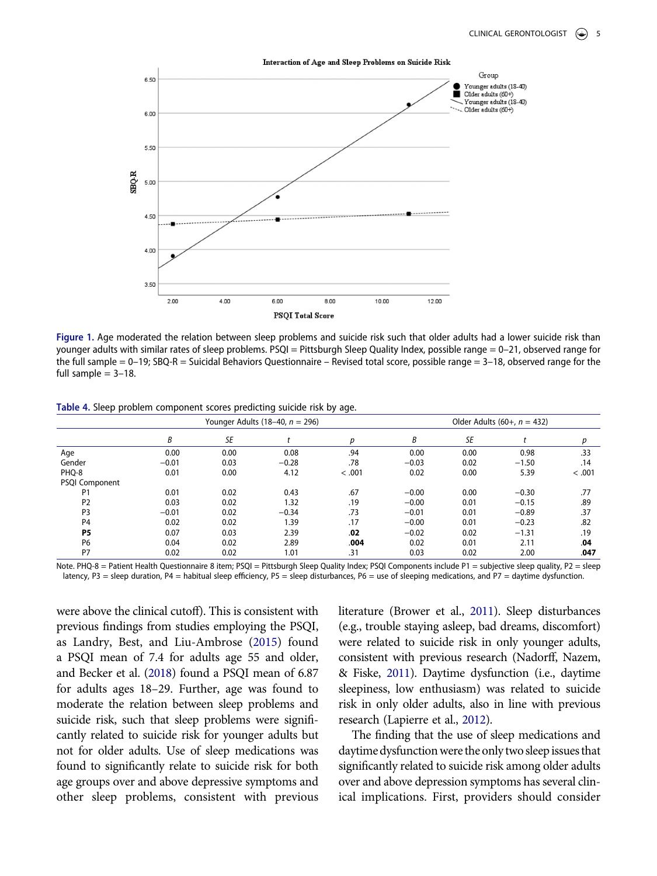<span id="page-5-0"></span>

**Figure 1.** Age moderated the relation between sleep problems and suicide risk such that older adults had a lower suicide risk than younger adults with similar rates of sleep problems. PSQI = Pittsburgh Sleep Quality Index, possible range = 0–21, observed range for the full sample = 0–19; SBQ-R = Suicidal Behaviors Questionnaire – Revised total score, possible range = 3–18, observed range for the full sample  $= 3-18$ .

<span id="page-5-1"></span>**Table 4.** Sleep problem component scores predicting suicide risk by age.

|                | Younger Adults (18-40, $n = 296$ ) |      |         | Older Adults $(60+, n = 432)$ |         |      |         |        |
|----------------|------------------------------------|------|---------|-------------------------------|---------|------|---------|--------|
|                | B                                  | SE   |         | p                             | B       | SE   |         | р      |
| Age            | 0.00                               | 0.00 | 0.08    | .94                           | 0.00    | 0.00 | 0.98    | .33    |
| Gender         | $-0.01$                            | 0.03 | $-0.28$ | .78                           | $-0.03$ | 0.02 | $-1.50$ | .14    |
| PHQ-8          | 0.01                               | 0.00 | 4.12    | < .001                        | 0.02    | 0.00 | 5.39    | < .001 |
| PSQI Component |                                    |      |         |                               |         |      |         |        |
| P1             | 0.01                               | 0.02 | 0.43    | .67                           | $-0.00$ | 0.00 | $-0.30$ | .77    |
| P <sub>2</sub> | 0.03                               | 0.02 | 1.32    | .19                           | $-0.00$ | 0.01 | $-0.15$ | .89    |
| P <sub>3</sub> | $-0.01$                            | 0.02 | $-0.34$ | .73                           | $-0.01$ | 0.01 | $-0.89$ | .37    |
| P <sub>4</sub> | 0.02                               | 0.02 | 1.39    | .17                           | $-0.00$ | 0.01 | $-0.23$ | .82    |
| P <sub>5</sub> | 0.07                               | 0.03 | 2.39    | .02                           | $-0.02$ | 0.02 | $-1.31$ | .19    |
| <b>P6</b>      | 0.04                               | 0.02 | 2.89    | .004                          | 0.02    | 0.01 | 2.11    | .04    |
| P7             | 0.02                               | 0.02 | 1.01    | .31                           | 0.03    | 0.02 | 2.00    | .047   |

Note. PHQ-8 = Patient Health Questionnaire 8 item; PSQI = Pittsburgh Sleep Quality Index; PSQI Components include P1 = subjective sleep quality, P2 = sleep latency, P3 = sleep duration, P4 = habitual sleep efficiency, P5 = sleep disturbances, P6 = use of sleeping medications, and P7 = daytime dysfunction.

<span id="page-5-4"></span><span id="page-5-2"></span>were above the clinical cutoff). This is consistent with previous findings from studies employing the PSQI, as Landry, Best, and Liu-Ambrose ([2015\)](#page-7-15) found a PSQI mean of 7.4 for adults age 55 and older, and Becker et al. [\(2018](#page-7-16)) found a PSQI mean of 6.87 for adults ages 18–29. Further, age was found to moderate the relation between sleep problems and suicide risk, such that sleep problems were significantly related to suicide risk for younger adults but not for older adults. Use of sleep medications was found to significantly relate to suicide risk for both age groups over and above depressive symptoms and other sleep problems, consistent with previous <span id="page-5-6"></span><span id="page-5-3"></span>literature (Brower et al., [2011](#page-7-17)). Sleep disturbances (e.g., trouble staying asleep, bad dreams, discomfort) were related to suicide risk in only younger adults, consistent with previous research (Nadorff, Nazem, & Fiske, [2011\)](#page-8-6). Daytime dysfunction (i.e., daytime sleepiness, low enthusiasm) was related to suicide risk in only older adults, also in line with previous research (Lapierre et al., [2012](#page-7-18)).

<span id="page-5-5"></span>The finding that the use of sleep medications and daytime dysfunction were the only two sleep issues that significantly related to suicide risk among older adults over and above depression symptoms has several clinical implications. First, providers should consider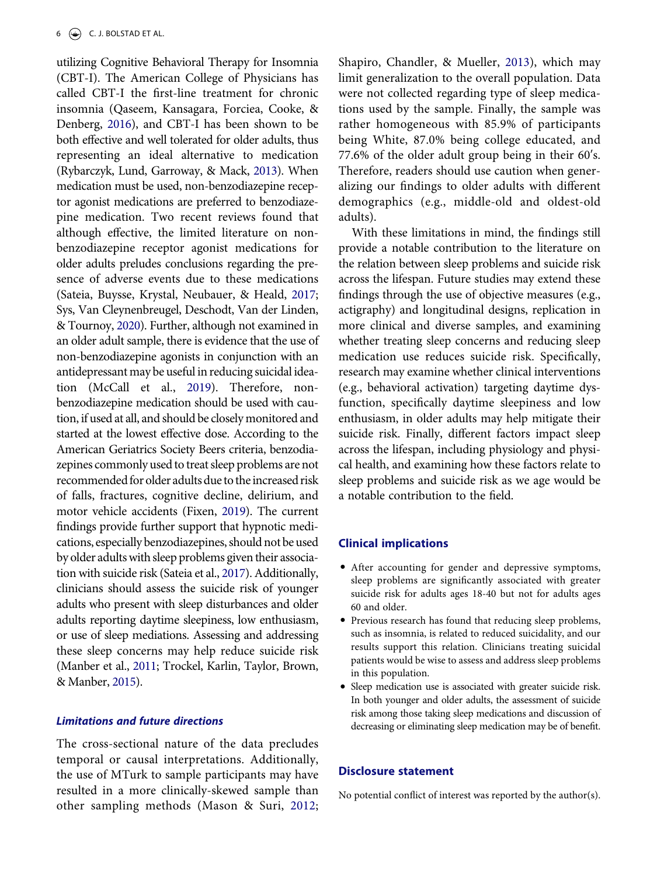<span id="page-6-8"></span><span id="page-6-5"></span><span id="page-6-4"></span>utilizing Cognitive Behavioral Therapy for Insomnia (CBT-I). The American College of Physicians has called CBT-I the first-line treatment for chronic insomnia (Qaseem, Kansagara, Forciea, Cooke, & Denberg, [2016\)](#page-8-7), and CBT-I has been shown to be both effective and well tolerated for older adults, thus representing an ideal alternative to medication (Rybarczyk, Lund, Garroway, & Mack, [2013](#page-8-8)). When medication must be used, non-benzodiazepine receptor agonist medications are preferred to benzodiazepine medication. Two recent reviews found that although effective, the limited literature on nonbenzodiazepine receptor agonist medications for older adults preludes conclusions regarding the presence of adverse events due to these medications (Sateia, Buysse, Krystal, Neubauer, & Heald, [2017](#page-8-9); Sys, Van Cleynenbreugel, Deschodt, Van der Linden, & Tournoy, [2020\)](#page-8-10). Further, although not examined in an older adult sample, there is evidence that the use of non-benzodiazepine agonists in conjunction with an antidepressant may be useful in reducing suicidal ideation (McCall et al., [2019\)](#page-7-19). Therefore, nonbenzodiazepine medication should be used with caution, if used at all, and should be closely monitored and started at the lowest effective dose. According to the American Geriatrics Society Beers criteria, benzodiazepines commonly used to treat sleep problems are not recommended for older adults due to the increased risk of falls, fractures, cognitive decline, delirium, and motor vehicle accidents (Fixen, [2019](#page-7-20)). The current findings provide further support that hypnotic medications, especially benzodiazepines, should not be used by older adults with sleep problems given their association with suicide risk (Sateia et al., [2017\)](#page-8-9). Additionally, clinicians should assess the suicide risk of younger adults who present with sleep disturbances and older adults reporting daytime sleepiness, low enthusiasm, or use of sleep mediations. Assessing and addressing these sleep concerns may help reduce suicide risk (Manber et al., [2011](#page-7-21); Trockel, Karlin, Taylor, Brown, & Manber, [2015\)](#page-8-11).

# <span id="page-6-9"></span><span id="page-6-6"></span><span id="page-6-1"></span><span id="page-6-0"></span>*Limitations and future directions*

<span id="page-6-2"></span>The cross-sectional nature of the data precludes temporal or causal interpretations. Additionally, the use of MTurk to sample participants may have resulted in a more clinically-skewed sample than other sampling methods (Mason & Suri, [2012](#page-7-22);

<span id="page-6-7"></span>Shapiro, Chandler, & Mueller, [2013\)](#page-8-12), which may limit generalization to the overall population. Data were not collected regarding type of sleep medications used by the sample. Finally, the sample was rather homogeneous with 85.9% of participants being White, 87.0% being college educated, and 77.6% of the older adult group being in their 60ʹs. Therefore, readers should use caution when generalizing our findings to older adults with different demographics (e.g., middle-old and oldest-old adults).

<span id="page-6-3"></span>With these limitations in mind, the findings still provide a notable contribution to the literature on the relation between sleep problems and suicide risk across the lifespan. Future studies may extend these findings through the use of objective measures (e.g., actigraphy) and longitudinal designs, replication in more clinical and diverse samples, and examining whether treating sleep concerns and reducing sleep medication use reduces suicide risk. Specifically, research may examine whether clinical interventions (e.g., behavioral activation) targeting daytime dysfunction, specifically daytime sleepiness and low enthusiasm, in older adults may help mitigate their suicide risk. Finally, different factors impact sleep across the lifespan, including physiology and physical health, and examining how these factors relate to sleep problems and suicide risk as we age would be a notable contribution to the field.

#### **Clinical implications**

- After accounting for gender and depressive symptoms, sleep problems are significantly associated with greater suicide risk for adults ages 18-40 but not for adults ages 60 and older.
- Previous research has found that reducing sleep problems, such as insomnia, is related to reduced suicidality, and our results support this relation. Clinicians treating suicidal patients would be wise to assess and address sleep problems in this population.
- Sleep medication use is associated with greater suicide risk. In both younger and older adults, the assessment of suicide risk among those taking sleep medications and discussion of decreasing or eliminating sleep medication may be of benefit.

#### **Disclosure statement**

No potential conflict of interest was reported by the author(s).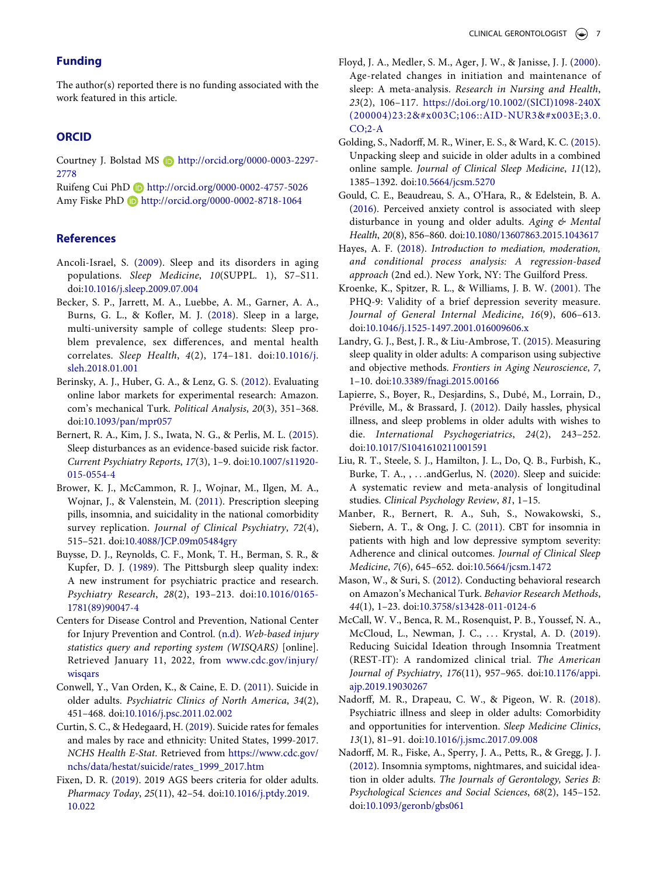# **Funding**

The author(s) reported there is no funding associated with the work featured in this article.

#### **ORCID**

Courtney J. Bolstad MS http://orcid.org/0000-0003-2297- 2778

Ruifeng Cui PhD http://orcid.org/0000-0002-4757-5026 Amy Fiske PhD http://orcid.org/0000-0002-8718-1064

#### **References**

- <span id="page-7-9"></span>Ancoli-Israel, S. ([2009](#page-2-0)). Sleep and its disorders in aging populations. *Sleep Medicine*, *10*(SUPPL. 1), S7–S11. doi:[10.1016/j.sleep.2009.07.004](https://doi.org/10.1016/j.sleep.2009.07.004)
- <span id="page-7-16"></span>Becker, S. P., Jarrett, M. A., Luebbe, A. M., Garner, A. A., Burns, G. L., & Kofler, M. J. [\(2018\)](#page-5-2). Sleep in a large, multi-university sample of college students: Sleep problem prevalence, sex differences, and mental health correlates. *Sleep Health*, *4*(2), 174–181. doi:[10.1016/j.](https://doi.org/10.1016/j.sleh.2018.01.001) [sleh.2018.01.001](https://doi.org/10.1016/j.sleh.2018.01.001)
- <span id="page-7-11"></span>Berinsky, A. J., Huber, G. A., & Lenz, G. S. [\(2012](#page-2-1)). Evaluating online labor markets for experimental research: Amazon. com's mechanical Turk. *Political Analysis*, *20*(3), 351–368. doi:[10.1093/pan/mpr057](https://doi.org/10.1093/pan/mpr057)
- <span id="page-7-5"></span>Bernert, R. A., Kim, J. S., Iwata, N. G., & Perlis, M. L. [\(2015\)](#page-1-3). Sleep disturbances as an evidence-based suicide risk factor. *Current Psychiatry Reports*, *17*(3), 1–9. doi:[10.1007/s11920-](https://doi.org/10.1007/s11920-015-0554-4)  [015-0554-4](https://doi.org/10.1007/s11920-015-0554-4)
- <span id="page-7-17"></span>Brower, K. J., McCammon, R. J., Wojnar, M., Ilgen, M. A., Wojnar, J., & Valenstein, M. ([2011\)](#page-5-3). Prescription sleeping pills, insomnia, and suicidality in the national comorbidity survey replication. *Journal of Clinical Psychiatry*, *72*(4), 515–521. doi:[10.4088/JCP.09m05484gry](https://doi.org/10.4088/JCP.09m05484gry)
- <span id="page-7-13"></span>Buysse, D. J., Reynolds, C. F., Monk, T. H., Berman, S. R., & Kupfer, D. J. ([1989](#page-3-1)). The Pittsburgh sleep quality index: A new instrument for psychiatric practice and research. *Psychiatry Research*, *28*(2), 193–213. doi:[10.1016/0165-](https://doi.org/10.1016/0165-1781(89)90047-4) [1781\(89\)90047-4](https://doi.org/10.1016/0165-1781(89)90047-4)
- <span id="page-7-0"></span>Centers for Disease Control and Prevention, National Center for Injury Prevention and Control. ([n.d\)](#page-1-4). *Web-based injury statistics query and reporting system (WISQARS)* [online]. Retrieved January 11, 2022, from [www.cdc.gov/injury/](http://www.cdc.gov/injury/wisqars) [wisqars](http://www.cdc.gov/injury/wisqars)
- <span id="page-7-2"></span>Conwell, Y., Van Orden, K., & Caine, E. D. ([2011\)](#page-1-5). Suicide in older adults. *Psychiatric Clinics of North America*, *34*(2), 451–468. doi:[10.1016/j.psc.2011.02.002](https://doi.org/10.1016/j.psc.2011.02.002)
- <span id="page-7-1"></span>Curtin, S. C., & Hedegaard, H. ([2019](#page-1-6)). Suicide rates for females and males by race and ethnicity: United States, 1999-2017. *NCHS Health E-Stat*. Retrieved from [https://www.cdc.gov/](https://www.cdc.gov/nchs/data/hestat/suicide/rates_1999_2017.htm) [nchs/data/hestat/suicide/rates\\_1999\\_2017.htm](https://www.cdc.gov/nchs/data/hestat/suicide/rates_1999_2017.htm)
- <span id="page-7-20"></span>Fixen, D. R. ([2019](#page-6-0)). 2019 AGS beers criteria for older adults. *Pharmacy Today*, *25*(11), 42–54. doi:[10.1016/j.ptdy.2019.](https://doi.org/10.1016/j.ptdy.2019.10.022)  [10.022](https://doi.org/10.1016/j.ptdy.2019.10.022)
- <span id="page-7-8"></span>Floyd, J. A., Medler, S. M., Ager, J. W., & Janisse, J. J. ([2000](#page-1-7)). Age-related changes in initiation and maintenance of sleep: A meta-analysis. *Research in Nursing and Health*, *23*(2), 106–117. [https://doi.org/10.1002/\(SICI\)1098-240X](https://doi.org/10.1002/(SICI)1098-240X(200004)23:2%26#x003C;106::AID-NUR3%26#x003E;3.0.CO;2-A) [\(200004\)23:2<106::AID-NUR3>3.0.](https://doi.org/10.1002/(SICI)1098-240X(200004)23:2%26#x003C;106::AID-NUR3%26#x003E;3.0.CO;2-A)   $CO;2-A$
- <span id="page-7-7"></span>Golding, S., Nadorff, M. R., Winer, E. S., & Ward, K. C. [\(2015\)](#page-1-8). Unpacking sleep and suicide in older adults in a combined online sample. *Journal of Clinical Sleep Medicine*, *11*(12), 1385–1392. doi:[10.5664/jcsm.5270](https://doi.org/10.5664/jcsm.5270)
- <span id="page-7-10"></span>Gould, C. E., Beaudreau, S. A., O'Hara, R., & Edelstein, B. A. [\(2016](#page-2-2)). Perceived anxiety control is associated with sleep disturbance in young and older adults. *Aging & Mental Health*, *20*(8), 856–860. doi:[10.1080/13607863.2015.1043617](https://doi.org/10.1080/13607863.2015.1043617)
- <span id="page-7-14"></span>Hayes, A. F. [\(2018\)](#page-3-2). *Introduction to mediation, moderation, and conditional process analysis: A regression-based approach* (2nd ed.). New York, NY: The Guilford Press.
- <span id="page-7-12"></span>Kroenke, K., Spitzer, R. L., & Williams, J. B. W. [\(2001](#page-2-3)). The PHQ-9: Validity of a brief depression severity measure. *Journal of General Internal Medicine*, *16*(9), 606–613. doi:[10.1046/j.1525-1497.2001.016009606.x](https://doi.org/10.1046/j.1525-1497.2001.016009606.x)
- <span id="page-7-15"></span>Landry, G. J., Best, J. R., & Liu-Ambrose, T. [\(2015](#page-5-4)). Measuring sleep quality in older adults: A comparison using subjective and objective methods. *Frontiers in Aging Neuroscience*, *7*, 1–10. doi:[10.3389/fnagi.2015.00166](https://doi.org/10.3389/fnagi.2015.00166)
- <span id="page-7-18"></span>Lapierre, S., Boyer, R., Desjardins, S., Dubé, M., Lorrain, D., Préville, M., & Brassard, J. ([2012](#page-5-5)). Daily hassles, physical illness, and sleep problems in older adults with wishes to die. *International Psychogeriatrics*, *24*(2), 243–252. doi:[10.1017/S1041610211001591](https://doi.org/10.1017/S1041610211001591)
- <span id="page-7-3"></span>Liu, R. T., Steele, S. J., Hamilton, J. L., Do, Q. B., Furbish, K., Burke, T. A., , . . .andGerlus, N. [\(2020\)](#page-1-9). Sleep and suicide: A systematic review and meta-analysis of longitudinal studies. *Clinical Psychology Review*, *81*, 1–15.
- <span id="page-7-21"></span>Manber, R., Bernert, R. A., Suh, S., Nowakowski, S., Siebern, A. T., & Ong, J. C. ([2011](#page-6-1)). CBT for insomnia in patients with high and low depressive symptom severity: Adherence and clinical outcomes. *Journal of Clinical Sleep Medicine*, *7*(6), 645–652. doi:[10.5664/jcsm.1472](https://doi.org/10.5664/jcsm.1472)
- <span id="page-7-22"></span>Mason, W., & Suri, S. ([2012\)](#page-6-2). Conducting behavioral research on Amazon's Mechanical Turk. *Behavior Research Methods*, *44*(1), 1–23. doi:[10.3758/s13428-011-0124-6](https://doi.org/10.3758/s13428-011-0124-6)
- <span id="page-7-19"></span>McCall, W. V., Benca, R. M., Rosenquist, P. B., Youssef, N. A., McCloud, L., Newman, J. C., . . . Krystal, A. D. ([2019](#page-6-3)). Reducing Suicidal Ideation through Insomnia Treatment (REST-IT): A randomized clinical trial. *The American Journal of Psychiatry*, *176*(11), 957–965. doi:[10.1176/appi.](https://doi.org/10.1176/appi.ajp.2019.19030267)  [ajp.2019.19030267](https://doi.org/10.1176/appi.ajp.2019.19030267)
- <span id="page-7-4"></span>Nadorff, M. R., Drapeau, C. W., & Pigeon, W. R. ([2018](#page-1-10)). Psychiatric illness and sleep in older adults: Comorbidity and opportunities for intervention. *Sleep Medicine Clinics*, *13*(1), 81–91. doi:[10.1016/j.jsmc.2017.09.008](https://doi.org/10.1016/j.jsmc.2017.09.008)
- <span id="page-7-6"></span>Nadorff, M. R., Fiske, A., Sperry, J. A., Petts, R., & Gregg, J. J. [\(2012\)](#page-1-11). Insomnia symptoms, nightmares, and suicidal ideation in older adults. *The Journals of Gerontology, Series B: Psychological Sciences and Social Sciences*, *68*(2), 145–152. doi:[10.1093/geronb/gbs061](https://doi.org/10.1093/geronb/gbs061)